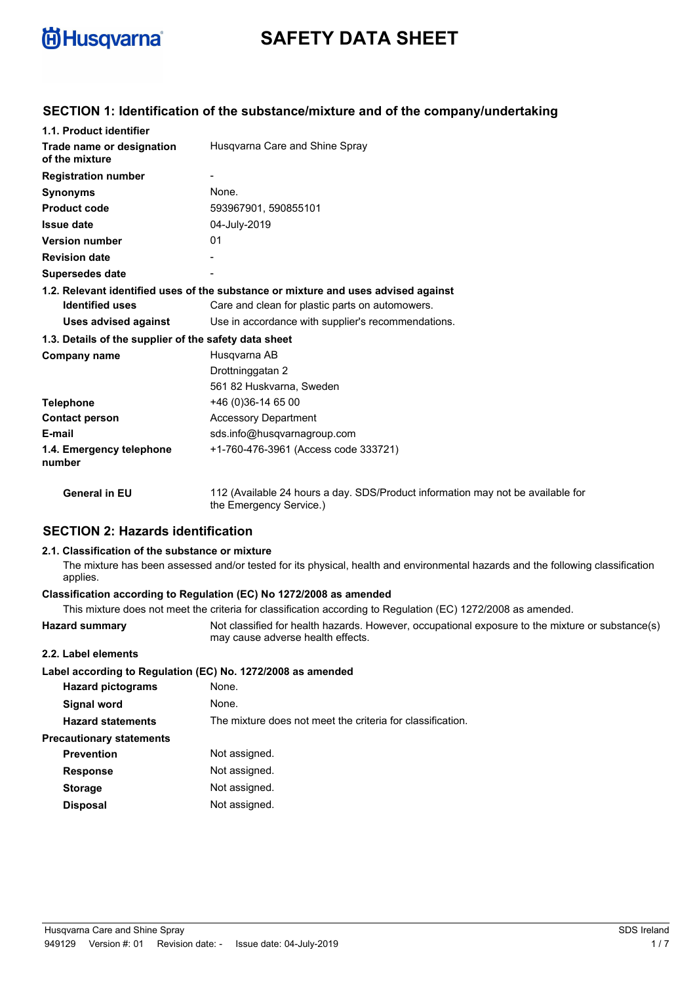

# **SAFETY DATA SHEET**

# **SECTION 1: Identification of the substance/mixture and of the company/undertaking**

| 1.1. Product identifier                               |                                                                                                            |
|-------------------------------------------------------|------------------------------------------------------------------------------------------------------------|
| Trade name or designation<br>of the mixture           | Husgvarna Care and Shine Spray                                                                             |
| <b>Registration number</b>                            |                                                                                                            |
| <b>Synonyms</b>                                       | None.                                                                                                      |
| <b>Product code</b>                                   | 593967901, 590855101                                                                                       |
| <b>Issue date</b>                                     | 04-July-2019                                                                                               |
| <b>Version number</b>                                 | 01                                                                                                         |
| <b>Revision date</b>                                  |                                                                                                            |
| <b>Supersedes date</b>                                |                                                                                                            |
|                                                       | 1.2. Relevant identified uses of the substance or mixture and uses advised against                         |
| <b>Identified uses</b>                                | Care and clean for plastic parts on automowers.                                                            |
| <b>Uses advised against</b>                           | Use in accordance with supplier's recommendations.                                                         |
| 1.3. Details of the supplier of the safety data sheet |                                                                                                            |
| Company name                                          | Husgvarna AB                                                                                               |
|                                                       | Drottninggatan 2                                                                                           |
|                                                       | 561 82 Huskvarna, Sweden                                                                                   |
| <b>Telephone</b>                                      | +46 (0) 36-14 65 00                                                                                        |
| <b>Contact person</b>                                 | <b>Accessory Department</b>                                                                                |
| E-mail                                                | sds.info@husqvarnagroup.com                                                                                |
| 1.4. Emergency telephone<br>number                    | +1-760-476-3961 (Access code 333721)                                                                       |
| <b>General in EU</b>                                  | 112 (Available 24 hours a day. SDS/Product information may not be available for<br>the Emergency Service.) |

# **SECTION 2: Hazards identification**

#### **2.1. Classification of the substance or mixture**

The mixture has been assessed and/or tested for its physical, health and environmental hazards and the following classification applies.

#### **Classification according to Regulation (EC) No 1272/2008 as amended**

|                                 | This mixture does not meet the criteria for classification according to Regulation (EC) 1272/2008 as amended.                         |
|---------------------------------|---------------------------------------------------------------------------------------------------------------------------------------|
| <b>Hazard summary</b>           | Not classified for health hazards. However, occupational exposure to the mixture or substance(s)<br>may cause adverse health effects. |
| 2.2. Label elements             |                                                                                                                                       |
|                                 | Label according to Regulation (EC) No. 1272/2008 as amended                                                                           |
| <b>Hazard pictograms</b>        | None.                                                                                                                                 |
| Signal word                     | None.                                                                                                                                 |
| <b>Hazard statements</b>        | The mixture does not meet the criteria for classification.                                                                            |
| <b>Precautionary statements</b> |                                                                                                                                       |
| <b>Prevention</b>               | Not assigned.                                                                                                                         |
| <b>Response</b>                 | Not assigned.                                                                                                                         |
| <b>Storage</b>                  | Not assigned.                                                                                                                         |
| <b>Disposal</b>                 | Not assigned.                                                                                                                         |
|                                 |                                                                                                                                       |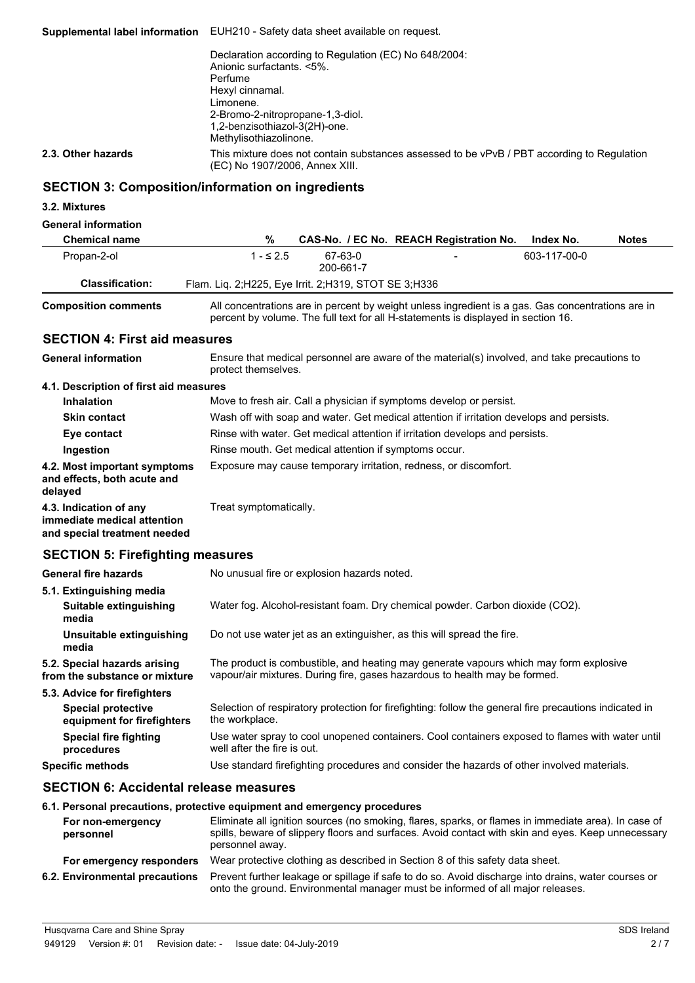**Supplemental label information** EUH210 - Safety data sheet available on request. Declaration according to Regulation (EC) No 648/2004: Anionic surfactants. <5%. Perfume Hexyl cinnamal. Limonene. 2-Bromo-2-nitropropane-1,3-diol. 1,2-benzisothiazol-3(2H)-one. Methylisothiazolinone. This mixture does not contain substances assessed to be vPvB / PBT according to Regulation (EC) No 1907/2006, Annex XIII. **2.3. Other hazards**

# **SECTION 3: Composition/information on ingredients**

#### **3.2. Mixtures**

#### **General information**

| <b>Chemical name</b>   | %                                                       |                      | CAS-No. / EC No. REACH Registration No. | Index No.    | <b>Notes</b> |
|------------------------|---------------------------------------------------------|----------------------|-----------------------------------------|--------------|--------------|
| Propan-2-ol            | $-52.5$                                                 | 67-63-0<br>200-661-7 | $\overline{\phantom{0}}$                | 603-117-00-0 |              |
| <b>Classification:</b> | Flam. Liq. 2; H225, Eye Irrit. 2; H319, STOT SE 3; H336 |                      |                                         |              |              |
|                        |                                                         |                      |                                         |              |              |

**Composition comments**

All concentrations are in percent by weight unless ingredient is a gas. Gas concentrations are in percent by volume. The full text for all H-statements is displayed in section 16.

#### **SECTION 4: First aid measures**

Ensure that medical personnel are aware of the material(s) involved, and take precautions to protect themselves. **General information 4.1. Description of first aid measures Inhalation** Move to fresh air. Call a physician if symptoms develop or persist. **Skin contact** Wash off with soap and water. Get medical attention if irritation develops and persists. **Eye contact** Rinse with water. Get medical attention if irritation develops and persists. **Ingestion** Rinse mouth. Get medical attention if symptoms occur. **4.2. Most important symptoms** Exposure may cause temporary irritation, redness, or discomfort. **and effects, both acute and delayed 4.3. Indication of any** Treat symptomatically. **immediate medical attention and special treatment needed**

# **SECTION 5: Firefighting measures**

| <b>General fire hazards</b>                                   | No unusual fire or explosion hazards noted.                                                                                                                         |
|---------------------------------------------------------------|---------------------------------------------------------------------------------------------------------------------------------------------------------------------|
| 5.1. Extinguishing media                                      |                                                                                                                                                                     |
| Suitable extinguishing<br>media                               | Water fog. Alcohol-resistant foam. Dry chemical powder. Carbon dioxide (CO2).                                                                                       |
| Unsuitable extinguishing<br>media                             | Do not use water jet as an extinguisher, as this will spread the fire.                                                                                              |
| 5.2. Special hazards arising<br>from the substance or mixture | The product is combustible, and heating may generate vapours which may form explosive<br>vapour/air mixtures. During fire, gases hazardous to health may be formed. |
| 5.3. Advice for firefighters                                  |                                                                                                                                                                     |
| <b>Special protective</b><br>equipment for firefighters       | Selection of respiratory protection for firefighting: follow the general fire precautions indicated in<br>the workplace.                                            |
| Special fire fighting<br>procedures                           | Use water spray to cool unopened containers. Cool containers exposed to flames with water until<br>well after the fire is out.                                      |
| <b>Specific methods</b>                                       | Use standard firefighting procedures and consider the hazards of other involved materials.                                                                          |

#### **SECTION 6: Accidental release measures**

#### **6.1. Personal precautions, protective equipment and emergency procedures**

| For non-emergency<br>personnel | Eliminate all ignition sources (no smoking, flares, sparks, or flames in immediate area). In case of<br>spills, beware of slippery floors and surfaces. Avoid contact with skin and eyes. Keep unnecessary<br>personnel away. |
|--------------------------------|-------------------------------------------------------------------------------------------------------------------------------------------------------------------------------------------------------------------------------|
| For emergency responders       | Wear protective clothing as described in Section 8 of this safety data sheet.                                                                                                                                                 |
| 6.2. Environmental precautions | Prevent further leakage or spillage if safe to do so. Avoid discharge into drains, water courses or<br>onto the ground. Environmental manager must be informed of all major releases.                                         |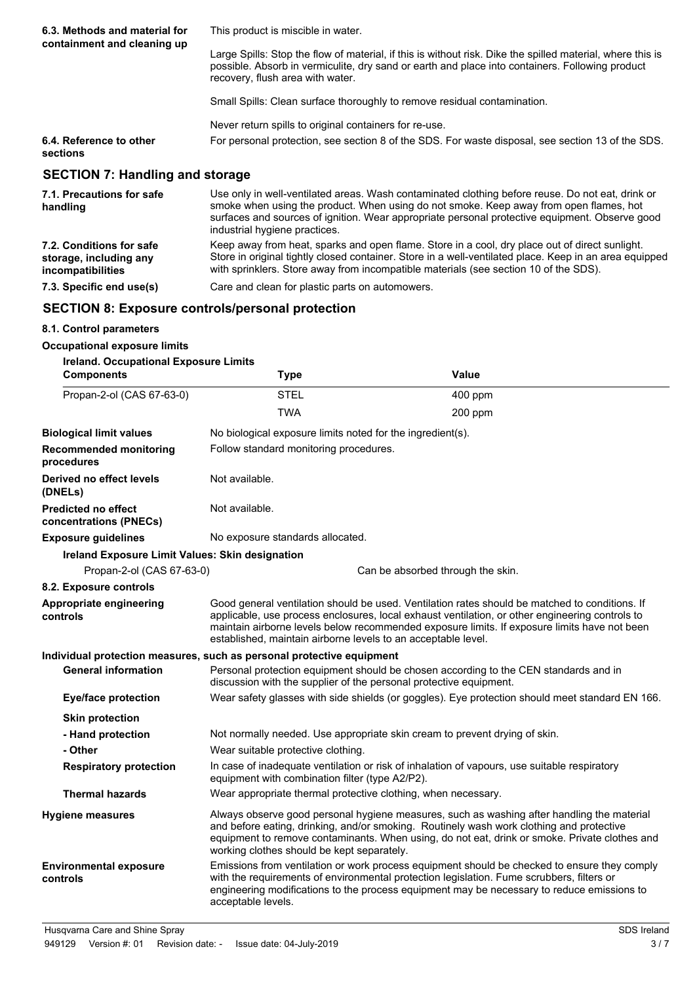| 6.3. Methods and material for<br>containment and cleaning up | This product is miscible in water.                                                                                                                                                                                                                |  |
|--------------------------------------------------------------|---------------------------------------------------------------------------------------------------------------------------------------------------------------------------------------------------------------------------------------------------|--|
|                                                              | Large Spills: Stop the flow of material, if this is without risk. Dike the spilled material, where this is<br>possible. Absorb in vermiculite, dry sand or earth and place into containers. Following product<br>recovery, flush area with water. |  |
|                                                              | Small Spills: Clean surface thoroughly to remove residual contamination.                                                                                                                                                                          |  |
|                                                              | Never return spills to original containers for re-use.                                                                                                                                                                                            |  |
| 6.4. Reference to other<br>sections                          | For personal protection, see section 8 of the SDS. For waste disposal, see section 13 of the SDS.                                                                                                                                                 |  |
| <b>SECTION 7: Handling and storage</b>                       |                                                                                                                                                                                                                                                   |  |
| 7.1. Precautions for safe                                    | Use only in well-ventilated areas. Wash contaminated clothing before reuse. Do not eat, drink or                                                                                                                                                  |  |

| 7.1. Precautions for safe<br>handling                                   | Use only in well-ventilated areas. Wash contaminated clothing before reuse. Do not eat, drink or<br>smoke when using the product. When using do not smoke. Keep away from open flames, hot<br>surfaces and sources of ignition. Wear appropriate personal protective equipment. Observe good<br>industrial hygiene practices. |
|-------------------------------------------------------------------------|-------------------------------------------------------------------------------------------------------------------------------------------------------------------------------------------------------------------------------------------------------------------------------------------------------------------------------|
| 7.2. Conditions for safe<br>storage, including any<br>incompatibilities | Keep away from heat, sparks and open flame. Store in a cool, dry place out of direct sunlight.<br>Store in original tightly closed container. Store in a well-ventilated place. Keep in an area equipped<br>with sprinklers. Store away from incompatible materials (see section 10 of the SDS).                              |
| 7.3. Specific end use(s)                                                | Care and clean for plastic parts on automowers.                                                                                                                                                                                                                                                                               |

# **SECTION 8: Exposure controls/personal protection**

| 8.1. Control parameters                                |                                                                                                                                                                                                                                                                                                                                                                    |                                                                                                                                                                                                                                                                                         |  |
|--------------------------------------------------------|--------------------------------------------------------------------------------------------------------------------------------------------------------------------------------------------------------------------------------------------------------------------------------------------------------------------------------------------------------------------|-----------------------------------------------------------------------------------------------------------------------------------------------------------------------------------------------------------------------------------------------------------------------------------------|--|
| <b>Occupational exposure limits</b>                    |                                                                                                                                                                                                                                                                                                                                                                    |                                                                                                                                                                                                                                                                                         |  |
| <b>Ireland. Occupational Exposure Limits</b>           |                                                                                                                                                                                                                                                                                                                                                                    |                                                                                                                                                                                                                                                                                         |  |
| <b>Components</b>                                      | <b>Type</b>                                                                                                                                                                                                                                                                                                                                                        | <b>Value</b>                                                                                                                                                                                                                                                                            |  |
| Propan-2-ol (CAS 67-63-0)                              | <b>STEL</b>                                                                                                                                                                                                                                                                                                                                                        | 400 ppm                                                                                                                                                                                                                                                                                 |  |
|                                                        | <b>TWA</b>                                                                                                                                                                                                                                                                                                                                                         | $200$ ppm                                                                                                                                                                                                                                                                               |  |
| <b>Biological limit values</b>                         | No biological exposure limits noted for the ingredient(s).                                                                                                                                                                                                                                                                                                         |                                                                                                                                                                                                                                                                                         |  |
| <b>Recommended monitoring</b><br>procedures            | Follow standard monitoring procedures.                                                                                                                                                                                                                                                                                                                             |                                                                                                                                                                                                                                                                                         |  |
| Derived no effect levels<br>(DNELs)                    | Not available.                                                                                                                                                                                                                                                                                                                                                     |                                                                                                                                                                                                                                                                                         |  |
| <b>Predicted no effect</b><br>concentrations (PNECs)   | Not available.                                                                                                                                                                                                                                                                                                                                                     |                                                                                                                                                                                                                                                                                         |  |
| <b>Exposure guidelines</b>                             | No exposure standards allocated.                                                                                                                                                                                                                                                                                                                                   |                                                                                                                                                                                                                                                                                         |  |
| <b>Ireland Exposure Limit Values: Skin designation</b> |                                                                                                                                                                                                                                                                                                                                                                    |                                                                                                                                                                                                                                                                                         |  |
| Propan-2-ol (CAS 67-63-0)                              |                                                                                                                                                                                                                                                                                                                                                                    | Can be absorbed through the skin.                                                                                                                                                                                                                                                       |  |
| 8.2. Exposure controls                                 |                                                                                                                                                                                                                                                                                                                                                                    |                                                                                                                                                                                                                                                                                         |  |
| Appropriate engineering<br>controls                    | Good general ventilation should be used. Ventilation rates should be matched to conditions. If<br>applicable, use process enclosures, local exhaust ventilation, or other engineering controls to<br>maintain airborne levels below recommended exposure limits. If exposure limits have not been<br>established, maintain airborne levels to an acceptable level. |                                                                                                                                                                                                                                                                                         |  |
|                                                        | Individual protection measures, such as personal protective equipment                                                                                                                                                                                                                                                                                              |                                                                                                                                                                                                                                                                                         |  |
| <b>General information</b>                             | discussion with the supplier of the personal protective equipment.                                                                                                                                                                                                                                                                                                 | Personal protection equipment should be chosen according to the CEN standards and in                                                                                                                                                                                                    |  |
| <b>Eye/face protection</b>                             |                                                                                                                                                                                                                                                                                                                                                                    | Wear safety glasses with side shields (or goggles). Eye protection should meet standard EN 166.                                                                                                                                                                                         |  |
| <b>Skin protection</b>                                 |                                                                                                                                                                                                                                                                                                                                                                    |                                                                                                                                                                                                                                                                                         |  |
| - Hand protection                                      |                                                                                                                                                                                                                                                                                                                                                                    | Not normally needed. Use appropriate skin cream to prevent drying of skin.                                                                                                                                                                                                              |  |
| - Other                                                | Wear suitable protective clothing.                                                                                                                                                                                                                                                                                                                                 |                                                                                                                                                                                                                                                                                         |  |
| <b>Respiratory protection</b>                          | In case of inadequate ventilation or risk of inhalation of vapours, use suitable respiratory<br>equipment with combination filter (type A2/P2).                                                                                                                                                                                                                    |                                                                                                                                                                                                                                                                                         |  |
| <b>Thermal hazards</b>                                 | Wear appropriate thermal protective clothing, when necessary.                                                                                                                                                                                                                                                                                                      |                                                                                                                                                                                                                                                                                         |  |
| <b>Hygiene measures</b>                                | Always observe good personal hygiene measures, such as washing after handling the material<br>and before eating, drinking, and/or smoking. Routinely wash work clothing and protective<br>equipment to remove contaminants. When using, do not eat, drink or smoke. Private clothes and<br>working clothes should be kept separately.                              |                                                                                                                                                                                                                                                                                         |  |
| <b>Environmental exposure</b><br>controls              | acceptable levels.                                                                                                                                                                                                                                                                                                                                                 | Emissions from ventilation or work process equipment should be checked to ensure they comply<br>with the requirements of environmental protection legislation. Fume scrubbers, filters or<br>engineering modifications to the process equipment may be necessary to reduce emissions to |  |
| Husgvarna Care and Shine Spray                         |                                                                                                                                                                                                                                                                                                                                                                    | SDS Ireland                                                                                                                                                                                                                                                                             |  |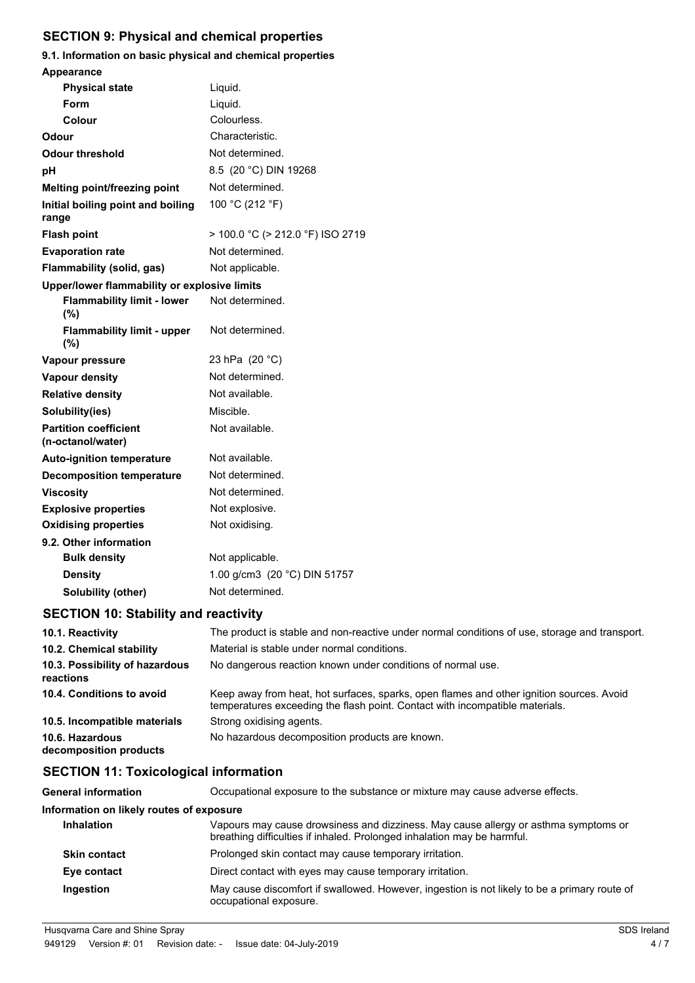# **SECTION 9: Physical and chemical properties**

# **9.1. Information on basic physical and chemical properties Appearance**

| <b>Physical state</b>                             | Liquid.                          |
|---------------------------------------------------|----------------------------------|
| Form                                              | Liquid.                          |
| Colour                                            | Colourless.                      |
| Odour                                             | Characteristic.                  |
| Odour threshold                                   | Not determined.                  |
| рH                                                | 8.5 (20 °C) DIN 19268            |
| <b>Melting point/freezing point</b>               | Not determined.                  |
| Initial boiling point and boiling<br>range        | 100 °C (212 °F)                  |
| <b>Flash point</b>                                | > 100.0 °C (> 212.0 °F) ISO 2719 |
| <b>Evaporation rate</b>                           | Not determined.                  |
| Flammability (solid, gas)                         | Not applicable.                  |
| Upper/lower flammability or explosive limits      |                                  |
| <b>Flammability limit - lower</b><br>(%)          | Not determined.                  |
| <b>Flammability limit - upper</b><br>(%)          | Not determined.                  |
| Vapour pressure                                   | 23 hPa (20 °C)                   |
| <b>Vapour density</b>                             | Not determined.                  |
| <b>Relative density</b>                           | Not available.                   |
| Solubility(ies)                                   | Miscible.                        |
| <b>Partition coefficient</b><br>(n-octanol/water) | Not available.                   |
| <b>Auto-ignition temperature</b>                  | Not available.                   |
| <b>Decomposition temperature</b>                  | Not determined.                  |
| <b>Viscosity</b>                                  | Not determined.                  |
| <b>Explosive properties</b>                       | Not explosive.                   |
| <b>Oxidising properties</b>                       | Not oxidising.                   |
| 9.2. Other information                            |                                  |
| <b>Bulk density</b>                               | Not applicable.                  |
| <b>Density</b>                                    | 1.00 g/cm3 (20 °C) DIN 51757     |
| <b>Solubility (other)</b>                         | Not determined.                  |

# **SECTION 10: Stability and reactivity**

| 10.1. Reactivity                            | The product is stable and non-reactive under normal conditions of use, storage and transport.                                                                            |
|---------------------------------------------|--------------------------------------------------------------------------------------------------------------------------------------------------------------------------|
| 10.2. Chemical stability                    | Material is stable under normal conditions.                                                                                                                              |
| 10.3. Possibility of hazardous<br>reactions | No dangerous reaction known under conditions of normal use.                                                                                                              |
| 10.4. Conditions to avoid                   | Keep away from heat, hot surfaces, sparks, open flames and other ignition sources. Avoid<br>temperatures exceeding the flash point. Contact with incompatible materials. |
| 10.5. Incompatible materials                | Strong oxidising agents.                                                                                                                                                 |
| 10.6. Hazardous<br>decomposition products   | No hazardous decomposition products are known.                                                                                                                           |

# **SECTION 11: Toxicological information**

| <b>General information</b>               | Occupational exposure to the substance or mixture may cause adverse effects.                                                                                   |
|------------------------------------------|----------------------------------------------------------------------------------------------------------------------------------------------------------------|
| Information on likely routes of exposure |                                                                                                                                                                |
| <b>Inhalation</b>                        | Vapours may cause drowsiness and dizziness. May cause allergy or asthma symptoms or<br>breathing difficulties if inhaled. Prolonged inhalation may be harmful. |
| <b>Skin contact</b>                      | Prolonged skin contact may cause temporary irritation.                                                                                                         |
| Eye contact                              | Direct contact with eyes may cause temporary irritation.                                                                                                       |
| Ingestion                                | May cause discomfort if swallowed. However, ingestion is not likely to be a primary route of<br>occupational exposure.                                         |
|                                          |                                                                                                                                                                |

Husqvarna Care and Shine Spray SDS Ireland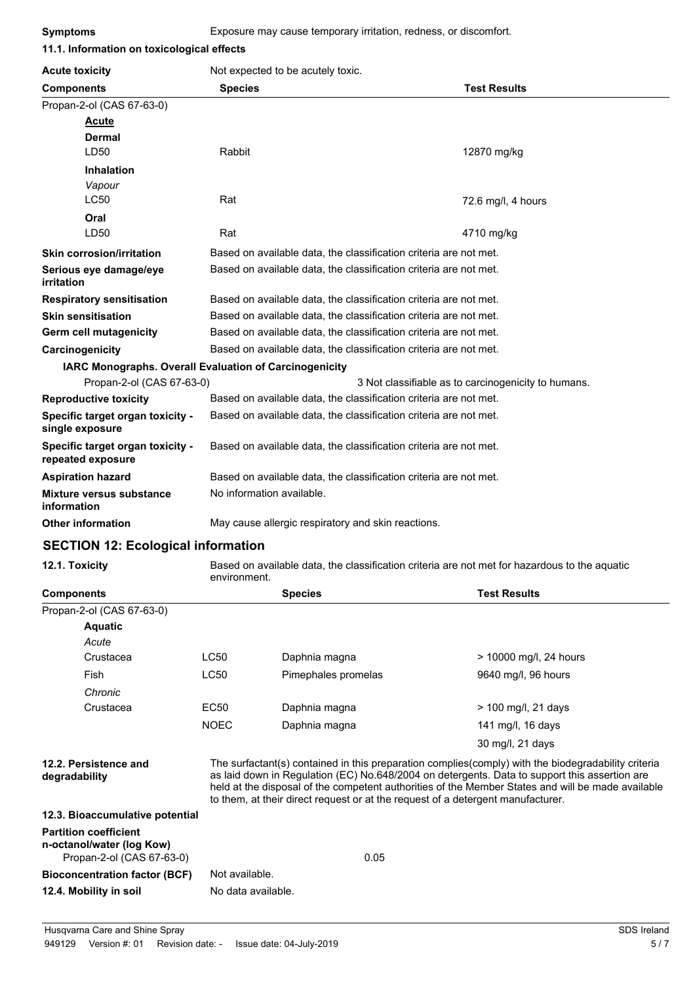| 11.1. Information on toxicological effects             |                                                                   |                                                     |  |
|--------------------------------------------------------|-------------------------------------------------------------------|-----------------------------------------------------|--|
| <b>Acute toxicity</b>                                  | Not expected to be acutely toxic.                                 |                                                     |  |
| <b>Components</b>                                      | <b>Species</b>                                                    | <b>Test Results</b>                                 |  |
| Propan-2-ol (CAS 67-63-0)                              |                                                                   |                                                     |  |
| <b>Acute</b>                                           |                                                                   |                                                     |  |
| <b>Dermal</b>                                          |                                                                   |                                                     |  |
| LD50                                                   | Rabbit                                                            | 12870 mg/kg                                         |  |
| <b>Inhalation</b>                                      |                                                                   |                                                     |  |
| Vapour                                                 |                                                                   |                                                     |  |
| <b>LC50</b>                                            | Rat                                                               | 72.6 mg/l, 4 hours                                  |  |
| Oral                                                   |                                                                   |                                                     |  |
| LD50                                                   | Rat                                                               | 4710 mg/kg                                          |  |
| <b>Skin corrosion/irritation</b>                       | Based on available data, the classification criteria are not met. |                                                     |  |
| Serious eye damage/eye<br>irritation                   | Based on available data, the classification criteria are not met. |                                                     |  |
| <b>Respiratory sensitisation</b>                       | Based on available data, the classification criteria are not met. |                                                     |  |
| <b>Skin sensitisation</b>                              | Based on available data, the classification criteria are not met. |                                                     |  |
| Germ cell mutagenicity                                 | Based on available data, the classification criteria are not met. |                                                     |  |
| Carcinogenicity                                        | Based on available data, the classification criteria are not met. |                                                     |  |
| IARC Monographs. Overall Evaluation of Carcinogenicity |                                                                   |                                                     |  |
| Propan-2-ol (CAS 67-63-0)                              |                                                                   | 3 Not classifiable as to carcinogenicity to humans. |  |
| <b>Reproductive toxicity</b>                           | Based on available data, the classification criteria are not met. |                                                     |  |
| Specific target organ toxicity -<br>single exposure    | Based on available data, the classification criteria are not met. |                                                     |  |
| Specific target organ toxicity -<br>repeated exposure  | Based on available data, the classification criteria are not met. |                                                     |  |
| <b>Aspiration hazard</b>                               | Based on available data, the classification criteria are not met. |                                                     |  |
| <b>Mixture versus substance</b><br>information         | No information available.                                         |                                                     |  |
| <b>Other information</b>                               | May cause allergic respiratory and skin reactions.                |                                                     |  |

#### **SECTION 12: Ecological information**

**12.1. Toxicity** Based on available data, the classification criteria are not met for hazardous to the aquatic environment.

| <b>Components</b>                                                                      |                                                                                                                                                                                                                                                                                                                                                                                              | <b>Species</b>      | <b>Test Results</b>    |
|----------------------------------------------------------------------------------------|----------------------------------------------------------------------------------------------------------------------------------------------------------------------------------------------------------------------------------------------------------------------------------------------------------------------------------------------------------------------------------------------|---------------------|------------------------|
| Propan-2-ol (CAS 67-63-0)                                                              |                                                                                                                                                                                                                                                                                                                                                                                              |                     |                        |
| <b>Aquatic</b>                                                                         |                                                                                                                                                                                                                                                                                                                                                                                              |                     |                        |
| Acute                                                                                  |                                                                                                                                                                                                                                                                                                                                                                                              |                     |                        |
| Crustacea                                                                              | LC50                                                                                                                                                                                                                                                                                                                                                                                         | Daphnia magna       | > 10000 mg/l, 24 hours |
| Fish                                                                                   | <b>LC50</b>                                                                                                                                                                                                                                                                                                                                                                                  | Pimephales promelas | 9640 mg/l, 96 hours    |
| Chronic                                                                                |                                                                                                                                                                                                                                                                                                                                                                                              |                     |                        |
| Crustacea                                                                              | EC50                                                                                                                                                                                                                                                                                                                                                                                         | Daphnia magna       | $> 100$ mg/l, 21 days  |
|                                                                                        | <b>NOEC</b>                                                                                                                                                                                                                                                                                                                                                                                  | Daphnia magna       | 141 mg/l, 16 days      |
|                                                                                        |                                                                                                                                                                                                                                                                                                                                                                                              |                     | 30 mg/l, 21 days       |
| 12.2. Persistence and<br>degradability                                                 | The surfactant(s) contained in this preparation complies(comply) with the biodegradability criteria<br>as laid down in Regulation (EC) No.648/2004 on detergents. Data to support this assertion are<br>held at the disposal of the competent authorities of the Member States and will be made available<br>to them, at their direct request or at the request of a detergent manufacturer. |                     |                        |
| 12.3. Bioaccumulative potential                                                        |                                                                                                                                                                                                                                                                                                                                                                                              |                     |                        |
| <b>Partition coefficient</b><br>n-octanol/water (log Kow)<br>Propan-2-ol (CAS 67-63-0) |                                                                                                                                                                                                                                                                                                                                                                                              | 0.05                |                        |
| <b>Bioconcentration factor (BCF)</b>                                                   | Not available.                                                                                                                                                                                                                                                                                                                                                                               |                     |                        |
| 12.4. Mobility in soil                                                                 | No data available.                                                                                                                                                                                                                                                                                                                                                                           |                     |                        |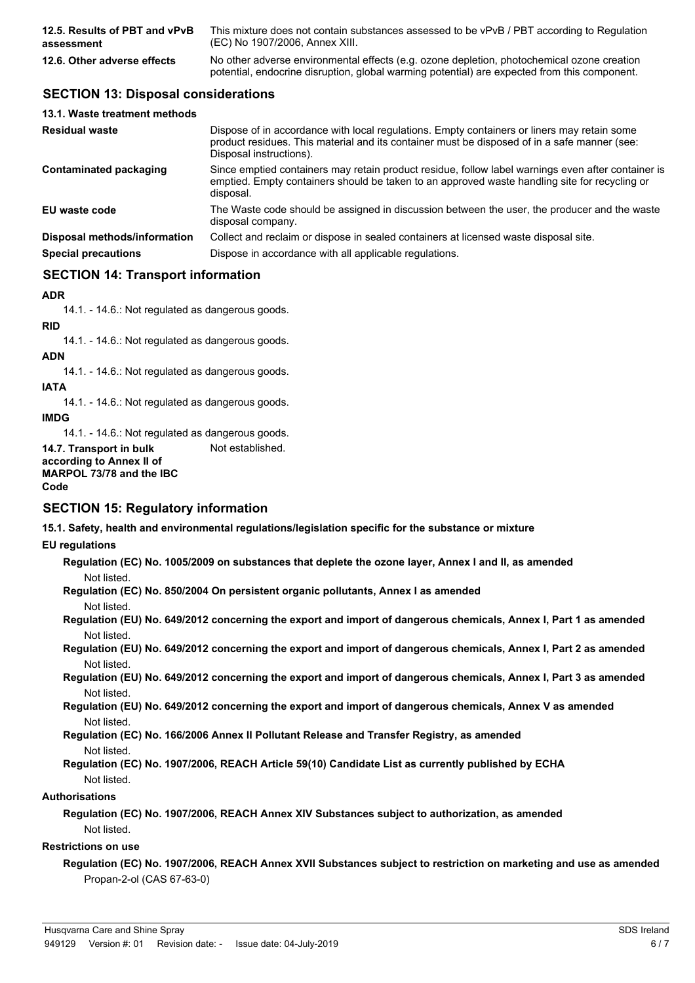| 12.5. Results of PBT and vPvB | This mixture does not contain substances assessed to be vPvB / PBT according to Regulation                                                                                                 |
|-------------------------------|--------------------------------------------------------------------------------------------------------------------------------------------------------------------------------------------|
| assessment                    | (EC) No 1907/2006. Annex XIII.                                                                                                                                                             |
| 12.6. Other adverse effects   | No other adverse environmental effects (e.g. ozone depletion, photochemical ozone creation<br>potential, endocrine disruption, global warming potential) are expected from this component. |

# **SECTION 13: Disposal considerations**

| 13.1. Waste treatment methods |                                                                                                                                                                                                                        |
|-------------------------------|------------------------------------------------------------------------------------------------------------------------------------------------------------------------------------------------------------------------|
| <b>Residual waste</b>         | Dispose of in accordance with local regulations. Empty containers or liners may retain some<br>product residues. This material and its container must be disposed of in a safe manner (see:<br>Disposal instructions). |
| Contaminated packaging        | Since emptied containers may retain product residue, follow label warnings even after container is<br>emptied. Empty containers should be taken to an approved waste handling site for recycling or<br>disposal.       |
| EU waste code                 | The Waste code should be assigned in discussion between the user, the producer and the waste<br>disposal company.                                                                                                      |
| Disposal methods/information  | Collect and reclaim or dispose in sealed containers at licensed waste disposal site.                                                                                                                                   |
| <b>Special precautions</b>    | Dispose in accordance with all applicable regulations.                                                                                                                                                                 |

# **SECTION 14: Transport information**

#### **ADR**

14.1. - 14.6.: Not regulated as dangerous goods.

# **RID**

14.1. - 14.6.: Not regulated as dangerous goods.

# **ADN**

14.1. - 14.6.: Not regulated as dangerous goods.

#### **IATA**

14.1. - 14.6.: Not regulated as dangerous goods.

**IMDG**

14.1. - 14.6.: Not regulated as dangerous goods.

**14.7. Transport in bulk** Not established.

**according to Annex II of MARPOL 73/78 and the IBC Code**

#### **SECTION 15: Regulatory information**

**15.1. Safety, health and environmental regulations/legislation specific for the substance or mixture**

#### **EU regulations**

**Regulation (EC) No. 1005/2009 on substances that deplete the ozone layer, Annex I and II, as amended** Not listed.

**Regulation (EC) No. 850/2004 On persistent organic pollutants, Annex I as amended** Not listed.

**Regulation (EU) No. 649/2012 concerning the export and import of dangerous chemicals, Annex I, Part 1 as amended** Not listed.

**Regulation (EU) No. 649/2012 concerning the export and import of dangerous chemicals, Annex I, Part 2 as amended** Not listed.

**Regulation (EU) No. 649/2012 concerning the export and import of dangerous chemicals, Annex I, Part 3 as amended** Not listed.

**Regulation (EU) No. 649/2012 concerning the export and import of dangerous chemicals, Annex V as amended** Not listed.

**Regulation (EC) No. 166/2006 Annex II Pollutant Release and Transfer Registry, as amended** Not listed.

**Regulation (EC) No. 1907/2006, REACH Article 59(10) Candidate List as currently published by ECHA** Not listed.

#### **Authorisations**

**Regulation (EC) No. 1907/2006, REACH Annex XIV Substances subject to authorization, as amended** Not listed.

#### **Restrictions on use**

**Regulation (EC) No. 1907/2006, REACH Annex XVII Substances subject to restriction on marketing and use as amended** Propan-2-ol (CAS 67-63-0)